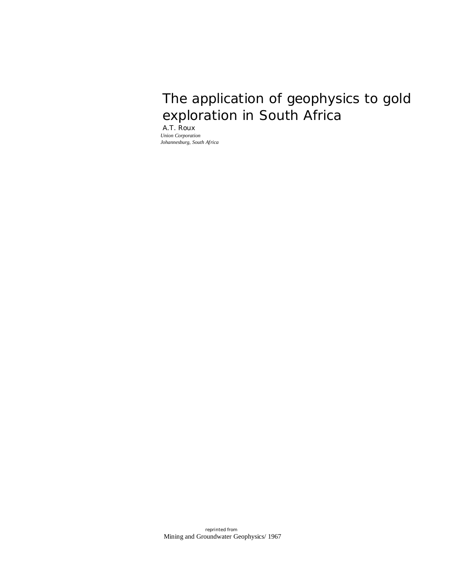# The application of geophysics to gold exploration in South Africa

A.T. Roux *Union Corporation Johannesburg, South Africa*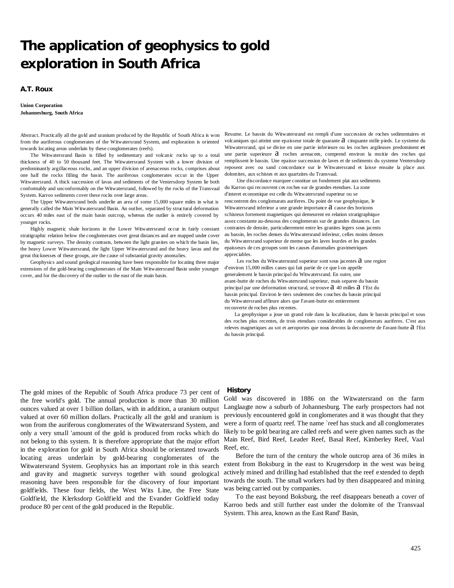# **The application of geophysics to gold exploration in South Africa**

## **A.T. Roux**

#### **Union Corporation Johannesburg, South Africa**

Abstract. Practically all the gold and uranium produced by the Republic of South Africa is won from the auriferous conglomerates of the Witwatersrand System, and exploration is oriented towards locating areas underlain by these conglomerates (reefs).

The Witwatersrand Basin is filled by sedimentary and volcanic rocks up to a total thickness of 40 to 50 thousand feet. The Witwatersrand System with a lower division of predominantly argillaceous rocks, and an upper division of arenaceous rocks, comprises about one half the rocks filling the basin. The auriferous conglomerates occur in the Upper Witwatersrand. A thick succession of lavas and sediments of the Ventersdorp System lie both conformably and unconformably on the Witwatersrand, followed by the rocks of the Transvaal System. Karroo sediments cover these rocks over large areas.

The Upper Witwatersrand beds underlie an area of some 15,000 square miles in what is generally called the Main Witwatersrand Basin. An outlier, separated by structural deformation occurs 40 miles east of the main basin outcrop, whereas the outlier is entirely covered by younger rocks.

Highly magnetic shale horizons in the Lower Witwatersrand occur in fairly constant stratigraphic relation below the conglomerates over great distances and are mapped under cover by magnetic surveys. The density contrasts, between the light granites on which the basin lies, the heavy Lower Witwatersrand, the light Upper Witwatersrand and the heavy lavas and the great thicknesses of these groups, are the cause of substantial gravity anomalies.

Geophysics and sound geological reasoning have been responsible for locating three major extensions of the gold-bearing conglomerates of the Main Witwatersrand Basin under younger cover, and for the discovery of the outlier to the east of the main basin.

Resume. Le bassin du Witwatersrand est rempli d'une succession de roches sedimentaires et volcaniques qui atteint une epaisseur totale de quarante  $a$  cinquante mille pieds. Le systeme du Witwatersrand, qui se divise en une partie inferieure ou les roches argileuses predominent **et**  une partie superieure  $a$  roches arenacees, comprend environ la moitie des roches qui remplissent le bassin. Une epaisse succession de laves et de sediments du systeme Ventersdorp reposent avec ou sand concordance sur le Witwatersrand et laisse ensuite la place aux dolomites, aux schistes et aux quartzites du Transvaal.

 Une discordance marquee constitue un fondement plat aux sediments du Karroo qui recouvrent ces roches sur de grandes etendues. La zone d'interet economique est celle du Witwatersrand superieur ou se rencontrent des conglomarats auriferes. Du point de vue geophysique, le Witwatersrand inferieur a une grande importance  $a$  cause des horizons schisteux fortement magnetiques qui demeurent en relation stratigraphique assez constante au-dessous des conglomerats sur de grandes distances. Les contrastes de densite, particulierement entre les granites legers sous jacents au bassin, les roches denses du Witwatersrand inferieur, celles moins denses du Witwatersrand superieur de meme que les laves lourdes et les grandes epaisseurs de ces groupes sont les causes d'anomalies gravimetriques appreciables.

Les roches du Witwatersrand superieur sont sous jacentes  $a$  une region d'environ 15,000 milles canes qui fait partie de ce que l-on appelle generalement le bassin principal du Witwatersrand. En outre, une avant-butte de roches du Witwatersrand superieur, mais separee du bassin principal par une deformation structural, se trouve  $a$  40 milles  $a$  I'Est du bassin principal. Environ le tiers seulement des couches du bassin principal du Witwatersrand affleure alors que I'avant-butte est entierement recouverte de roches plus recentes.

La geophysique a joue un grand role dans la localisation, dans le bassin principal et sous des roches plus recentes, de trois etendues considerables de conglomerats auriferes. C'est aux releves magnetiques au sot et aeroportes que nous devons la decouverte de l'avant-butte  $a$  l'Est du bassin principal.

## **History**

The gold mines of the Republic of South Africa produce 73 per cent of the free world's gold. The annual production is more than 30 million ounces valued at over 1 billion dollars, with in addition, a uranium output valued at over 60 million dollars. Practically all the gold and uranium is won from the auriferous conglomerates of the Witwatersrand System, and only a very small 'amount of the gold is produced from rocks which do not belong to this system. It is therefore appropriate that the major effort in the exploration for gold in South Africa should be orientated towards locating areas underlain by gold-bearing conglomerates of the Witwatersrand System. Geophysics has an important role in this search and gravity and magnetic surveys together with sound geological reasoning have been responsible for the discovery of four important goldfields. These four fields, the West Wits Line, the Free State Goldfield, the Klerksdorp Goldfield and the Evander Goldfield today produce 80 per cent of the gold produced in the Republic.

Gold was discovered in 1886 on the Witwatersrand on the farm Langlaagte now a suburb of Johannesburg. The early prospectors had not previously encountered gold in conglomerates and it was thought that they were a form of quartz reef. The name 'reef has stuck and all conglomerates likely to be gold bearing are called reefs and were given names such as the Main Reef, Bird Reef, Leader Reef, Basal Reef, Kimberley Reef, Vaal Reef, etc.

Before the turn of the century the whole outcrop area of 36 miles in extent from Boksburg in the east to Krugersdorp in the west was being actively mined and drilling had established that the reef extended to depth towards the south. The small workers had by then disappeared and mining was being carried out by companies.

To the east beyond Boksburg, the reef disappears beneath a cover of Karroo beds and still further east under the dolomite of the Transvaal System. This area, known as the East Rand' Basin,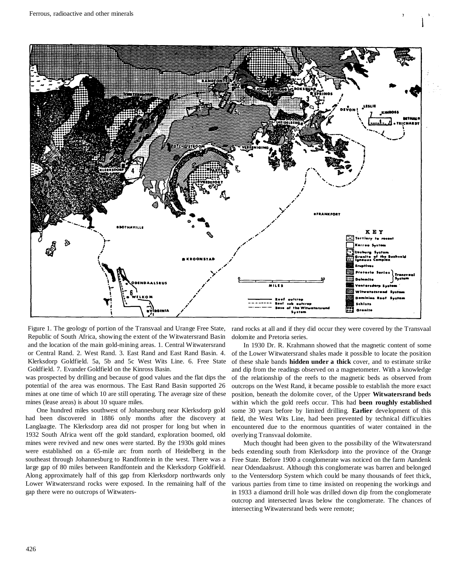

Figure 1. The geology of portion of the Transvaal and Urange Free State, Republic of South Africa, showing the extent of the Witwatersrand Basin and the location of the main gold-mining areas. 1. Central Witwatersrand or Central Rand. 2. West Rand. 3. East Rand and East Rand Basin. 4. Klerksdorp Goldfield. 5a, 5b and 5c West Wits Line. 6. Free State Goldfield. 7. Evander Goldfield on the Kinross Basin.

was prospected by drilling and because of good values and the flat dips the potential of the area was enormous. The East Rand Basin supported 26 mines at one time of which 10 are still operating. The average size of these mines (lease areas) is about 10 square miles.

One hundred miles southwest of Johannesburg near Klerksdorp gold had been discovered in 1886 only months after the discovery at Langlaagte. The Klerksdorp area did not prosper for long but when in 1932 South Africa went off the gold standard, exploration boomed, old mines were revived and new ones were started. By the 1930s gold mines were established on a 65-mile arc from north of Heidelberg in the southeast through Johannesburg to Randfontein in the west. There was a large gap of 80 miles between Randfontein and the Klerksdorp Goldfield. Along approximately half of this gap from Klerksdorp northwards only Lower Witwatersrand rocks were exposed. In the remaining half of the gap there were no outcrops of Witwaters-

rand rocks at all and if they did occur they were covered by the Transvaal dolomite and Pretoria series.

In 1930 Dr. R. Krahmann showed that the magnetic content of some of the Lower Witwatersrand shales made it possible to locate the position of these shale bands **hidden under a thick** cover, and to estimate strike and dip from the readings observed on a magnetometer. With a knowledge of the relationship of the reefs to the magnetic beds as observed from outcrops on the West Rand, it became possible to establish the more exact position, beneath the dolomite cover, of the Upper **Witwatersrand beds**  within which the gold reefs occur. This had **been roughly established**  some 30 years before by limited drilling. **Earlier** development of this field, the West Wits Line, had been prevented by technical difficulties encountered due to the enormous quantities of water contained in the overlying Transvaal dolomite.

Much thought had been given to the possibility of the Witwatersrand beds extending south from Klerksdorp into the province of the Orange Free State. Before 1900 a conglomerate was noticed on the farm Aandenk near Odendaalsrust. Although this conglomerate was barren and belonged to the Ventersdorp System which could be many thousands of feet thick, various parties from time to time insisted on reopening the workings and in 1933 a diamond drill hole was drilled down dip from the conglomerate outcrop and intersected lavas below the conglomerate. The chances of intersecting Witwatersrand beds were remote;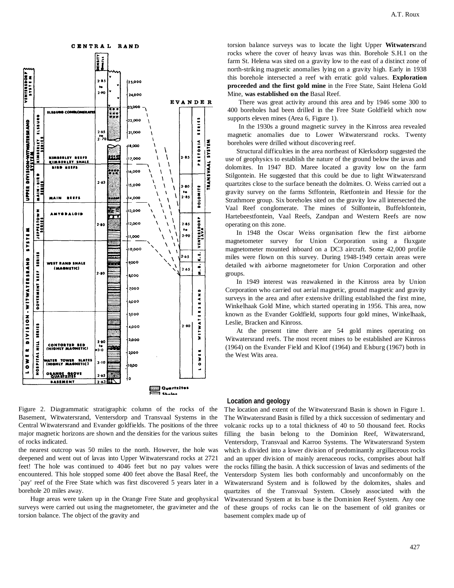

torsion balance surveys was to locate the light Upper **Witwaters**rand rocks where the cover of heavy lavas was thin. Borehole S.H.1 on the farm St. Helena was sited on a gravity low to the east of a distinct zone of north-striking magnetic anomalies lying on a gravity high. Early in 1938 this borehole intersected a reef with erratic gold values. **Exploration proceeded and the first gold mine** in the Free State, Saint Helena Gold Mine, **was established on the** Basal Reef.

There was great activity around this area and by 1946 some 300 to 400 boreholes had been drilled in the Free State Goldfield which now supports eleven mines (Area 6, Figure 1).

In the 1930s a ground magnetic survey in the Kinross area revealed magnetic anomalies due to Lower Witwatersrand rocks. Twenty boreholes were drilled without discovering reef.

Structural difficulties in the area northeast of Klerksdorp suggested the use of geophysics to establish the nature of the ground below the iavas and dolomites. In 1947 BD. Maree located a gravity low on the farm Stilgontein. He suggested that this could be due to light Witwatersrand quartzites close to the surface beneath the dolmites. O. Weiss carried out a gravity survey on the farms Stffontein, Rietfontein and Hessie for the Strathmore group. Six boreholes sited on the gravity low all intersected the Vaal Reef conglomerate. The mines of Stilfontein, Buffelsfontein, Hartebeestfontein, Vaal Reefs, Zandpan and Western Reefs are now operating on this zone.

In 1948 the Oscar Weiss organisation flew the first airborne magnetometer survey for Union Corporation using a fluxgate magnetometer mounted inboard on a DC3 aircraft. Some 42,000 profile miles were flown on this survey. During 1948-1949 certain areas were detailed with airborne magnetometer for Union Corporation and other groups.

In 1949 interest was reawakened in the Kinross area by Union Corporation who carried out aerial magnetic, ground magnetic and gravity surveys in the area and after extensive drilling established the first mine, Winkelhaak Gold Mine, which started operating in 1956. This area, now known as the Evander Goldfield, supports four gold mines, Winkelhaak, Leslie, Bracken and Kinross.

At the present time there are 54 gold mines operating on Witwatersrand reefs. The most recent mines to be established are Kinross (1964) on the Evander Field and Kloof (1964) and Elsburg (1967) both in the West Wits area.

Figure 2. Diagrammatic stratigraphic column of the rocks of the Basement, Witwatersrand, Ventersdorp and Transvaal Systems in the Central Witwatersrand and Evander goldfields. The positions of the three major magnetic horizons are shown and the densities for the various suites of rocks indicated.

the nearest outcrop was 50 miles to the north. However, the hole was deepened and went out of lavas into Upper Witwatersrand rocks at 2721 feet! The hole was continued to 4046 feet but no pay values were encountered. This hole stopped some 400 feet above the Basal Reef, the `pay' reef of the Free State which was first discovered 5 years later in a borehole 20 miles away.

Huge areas were taken up in the Orange Free State and geophysical surveys were carried out using the magnetometer, the gravimeter and the torsion balance. The object of the gravity and

#### **Location and geology**

The location and extent of the Witwatersrand Basin is shown in Figure 1. The Witwatersrand Basin is filled by a thick succession of sedimentary and volcanic rocks up to a total thickness of 40 to 50 thousand feet. Rocks filling the basin belong to the Dominion Reef, Witwatersrand, Ventersdorp, Transvaal and Karroo Systems. The Witwatersrand System which is divided into a lower division of predominantly argillaceous rocks and an upper division of mainly arenaceous rocks, comprises about half the rocks filling the basin. A thick succession of lavas and sediments of the Ventersdorp System lies both conformably and unconformably on the Witwatersrand System and is followed by the dolomites, shales and quartzites of the Transvaal System. Closely associated with the Witwatersrand System at its base is the Dominion Reef System. Any one of these groups of rocks can lie on the basement of old granites or basement complex made up of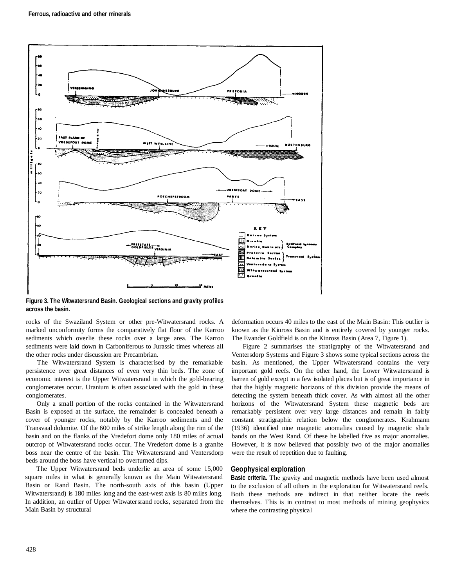

**Figure 3. The Witwatersrand Basin. Geological sections and gravity profiles across the basin.** 

rocks of the Swaziland System or other pre-Witwatersrand rocks. A marked unconformity forms the comparatively flat floor of the Karroo sediments which overlie these rocks over a large area. The Karroo sediments were laid down in Carboniferous to Jurassic times whereas all the other rocks under discussion are Precambrian.

The Witwatersrand System is characterised by the remarkable persistence over great distances of even very thin beds. The zone of economic interest is the Upper Witwatersrand in which the gold-bearing conglomerates occur. Uranium is often associated with the gold in these conglomerates.

Only a small portion of the rocks contained in the Witwatersrand Basin is exposed at the surface, the remainder is concealed beneath a cover of younger rocks, notably by the Karroo sediments and the Transvaal dolomite. Of the 600 miles of strike length along the rim of the basin and on the flanks of the Vredefort dome only 180 miles of actual outcrop of Witwatersrand rocks occur. The Vredefort dome is a granite boss near the centre of the basin. The Witwatersrand and Ventersdorp beds around the boss have vertical to overturned dips.

The Upper Witwatersrand beds underlie an area of some 15,000 square miles in what is generally known as the Main Witwatersrand Basin or Rand Basin. The north-south axis of this basin (Upper Witwatersrand) is 180 miles long and the east-west axis is 80 miles long. In addition, an outlier of Upper Witwatersrand rocks, separated from the Main Basin by structural

deformation occurs 40 miles to the east of the Main Basin: This outlier is known as the Kinross Basin and is entirely covered by younger rocks. The Evander Goldfield is on the Kinross Basin (Area 7, Figure 1).

Figure 2 summarises the stratigraphy of the Witwatersrand and Ventersdorp Systems and Figure 3 shows some typical sections across the basin. As mentioned, the Upper Witwatersrand contains the very important gold reefs. On the other hand, the Lower Witwatersrand is barren of gold except in a few isolated places but is of great importance in that the highly magnetic horizons of this division provide the means of detecting the system beneath thick cover. As with almost all the other horizons of the Witwatersrand System these magnetic beds are remarkably persistent over very large distances and remain in fairly constant stratigraphic relation below the conglomerates. Krahmann (1936) identified nine magnetic anomalies caused by magnetic shale bands on the West Rand. Of these he labelled five as major anomalies. However, it is now believed that possibly two of the major anomalies were the result of repetition due to faulting.

## **Geophysical exploration**

**Basic criteria.** The gravity and magnetic methods have been used almost to the exclusion of all others in the exploration for Witwatersrand reefs. Both these methods are indirect in that neither locate the reefs themselves. This is in contrast to most methods of mining geophysics where the contrasting physical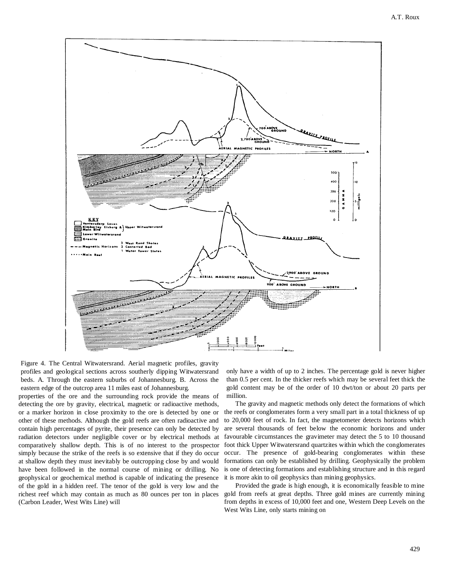

Figure 4. The Central Witwatersrand. Aerial magnetic profiles, gravity profiles and geological sections across southerly dipping Witwatersrand beds. A. Through the eastern suburbs of Johannesburg. B. Across the eastern edge of the outcrop area 11 miles east of Johannesburg.

properties of the ore and the surrounding rock provide the means of detecting the ore by gravity, electrical, magnetic or radioactive methods, or a marker horizon in close proximity to the ore is detected by one or other of these methods. Although the gold reefs are often radioactive and contain high percentages of pyrite, their presence can only be detected by radiation detectors under negligible cover or by electrical methods at comparatively shallow depth. This is of no interest to the prospector simply because the strike of the reefs is so extensive that if they do occur at shallow depth they must inevitably be outcropping close by and would have been followed in the normal course of mining or drilling. No geophysical or geochemical method is capable of indicating the presence of the gold in a hidden reef. The tenor of the gold is very low and the richest reef which may contain as much as 80 ounces per ton in places (Carbon Leader, West Wits Line) will

only have a width of up to 2 inches. The percentage gold is never higher than 0.5 per cent. In the thicker reefs which may be several feet thick the gold content may be of the order of 10 dwt/ton or about 20 parts per million.

The gravity and magnetic methods only detect the formations of which the reefs or conglomerates form a very small part in a total thickness of up to 20,000 feet of rock. In fact, the magnetometer detects horizons which are several thousands of feet below the economic horizons and under favourable circumstances the gravimeter may detect the 5 to 10 thousand foot thick Upper Witwatersrand quartzites within which the conglomerates occur. The presence of gold-bearing conglomerates within these formations can only be established by drilling. Geophysically the problem is one of detecting formations and establishing structure and in this regard it is more akin to oil geophysics than mining geophysics.

Provided the grade is high enough, it is economically feasible to mine gold from reefs at great depths. Three gold mines are currently mining from depths in excess of 10,000 feet and one, Western Deep Levels on the West Wits Line, only starts mining on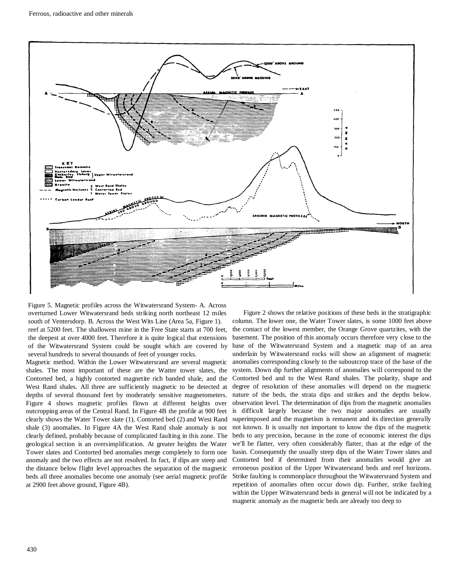

Figure 5. Magnetic profiles across the Witwatersrand System- A. Across overturned Lower Witwatersrand beds striking north northeast 12 miles south of Ventersdorp. B. Across the West Wits Line (Area 5a, Figure 1). reef at 5200 feet. The shallowest mine in the Free State starts at 700 feet, the deepest at over 4000 feet. Therefore it is quite logical that extensions of the Witwatersrand System could be sought which are covered by several hundreds to several thousands of feet of younger rocks.

Magnetic method. Within the Lower Witwatersrand are several magnetic shales. The most important of these are the Watter tower slates, the Contorted bed, a highly contorted magnetite rich banded shale, and the West Rand shales. All three are sufficiently magnetic to be detected at depths of several thousand feet by moderately sensitive magnetometers. Figure 4 shows magnetic profiles flown at different heights over outcropping areas of the Central Rand. In Figure 4B the profile at 900 feet clearly shows the Water Tower slate (1), Contorted bed (2) and West Rand shale (3) anomalies. In Figure 4A the West Rand shale anomaly is not clearly defined, probably because of complicated faulting in this zone. The geological section is an oversimplification. At greater heights the Water Tower slates and Contorted bed anomalies merge completely to form one anomaly and the two effects are not resolved. In fact, if dips are steep and the distance below flight level approaches the separation of the magnetic beds all three anomalies become one anomaly (see aerial magnetic profile at 2900 feet above ground, Figure 4B).

Figure 2 shows the relative positions of these beds in the stratigraphic column. The lower one, the Water Tower slates, is some 1000 feet above the contact of the lowest member, the Orange Grove quartzites, with the basement. The position of this anomaly occurs therefore very close to the base of the Witwatersrand System and a magnetic map of an area underlain by Witwatersrand rocks will show an alignment of magnetic anomalies corresponding closely to the suboutcrop trace of the base of the system. Down dip further alignments of anomalies will correspond to the Contorted bed and to the West Rand shales. The polarity, shape and degree of resolution of these anomalies will depend on the magnetic nature of the beds, the strata dips and strikes and the depths below. observation level. The determination of dips from the magnetic anomalies is difficult largely because the two major anomalies are usually superimposed and the magnetism is remanent and its direction generally not known. It is usually not important to know the dips of the magnetic beds to any precision, because in the zone of economic interest the dips we'll be flatter, very often considerably flatter, than at the edge of the basin. Consequently the usually steep dips of the Water Tower slates and Contorted bed if determined from their anomalies would give an erroneous position of the Upper Witwatersrand beds and reef horizons. Strike faulting is commonplace throughout the Witwatersrand System and repetition of anomalies often occur down dip. Further, strike faulting within the Upper Witwatersrand beds in general will not be indicated by a magnetic anomaly as the magnetic beds are already too deep to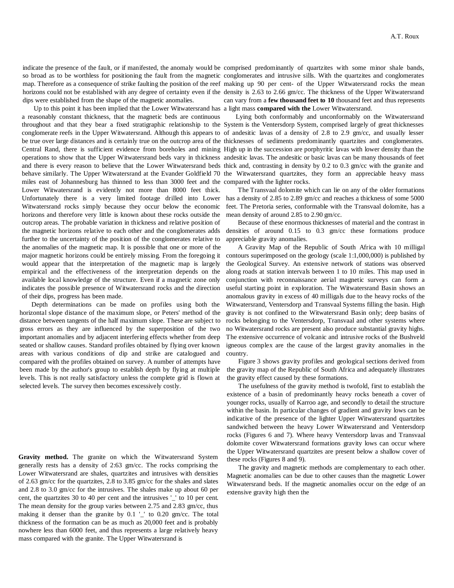indicate the presence of the fault, or if manifested, the anomaly would be comprised predominantly of quartzites with some minor shale bands, dips were established from the shape of the magnetic anomalies.

Up to this point it has been implied that the Lower Witwatersrand has a light mass **compared with the** Lower Witwatersrand. a reasonably constant thickness, that the magnetic beds are continuous miles east of Johannesburg has thinned to less than 3000 feet and the compared with the lighter rocks. Lower Witwatersrand is evidently not more than 8000 feet thick. Witwatersrand rocks simply because they occur below the economic horizons and therefore very little is known about these rocks outside the outcrop areas. The probable variation in thickness and relative position of the magnetic horizons relative to each other and the conglomerates adds further to the uncertainty of the position of the conglomerates relative to the anomalies of the magnetic map. It is possible that one or more of the major magnetic horizons could be entirely missing. From the foregoing it would appear that the interpretation of the magnetic map is largely empirical and the effectiveness of the interpretation depends on the available local knowledge of the structure. Even if a magnetic zone only indicates the possible presence of Witwatersrand rocks and the direction of their dips, progress has been made.

Depth determinations can be made on profiles using both the horizontal slope distance of the maximum slope, or Peters' method of the distance between tangents of the half maximum slope. These are subject to gross errors as they are influenced by the superposition of the two important anomalies and by adjacent interfering effects whether from deep seated or shallow causes. Standard profiles obtained by flying over known areas with various conditions of dip and strike are catalogued and compared with the profiles obtained on survey. A number of attempts have been made by the author's group to establish depth by flying at multiple levels. This is not really satisfactory unless the complete grid is flown at selected levels. The survey then becomes excessively costly.

**Gravity method.** The granite on which the Witwatersrand System generally rests has a density of 2:63 gm/cc. The rocks comprising the Lower Witwatersrand are shales, quartzites and intrusives with densities of 2.63 gm/cc for the quartzites, 2.8 to 3.85 gm/cc for the shales and slates and 2.8 to 3.0 gm/cc for the intrusives. The shales make up about 60 per cent, the quartzites 30 to 40 per cent and the intrusives '\_' to 10 per cent. The mean density for the group varies between 2.75 and 2.83 gm/cc, thus making it denser than the granite by 0.1 '\_' to 0.20 gm/cc. The total thickness of the formation can be as much as 20,000 feet and is probably nowhere less than 6000 feet, and thus represents a large relatively heavy mass compared with the granite. The Upper Witwatersrand is

so broad as to be worthless for positioning the fault from the magnetic conglomerates and intrusive sills. With the quartzites and conglomerates map. Therefore as a consequence of strike faulting the position of the reef making up 90 per cent- of the Upper Witwatersrand rocks the mean horizons could not be established with any degree of certainty even if the density is 2.63 to 2.66 gm/cc. The thickness of the Upper Witwatersrand can vary from a **few thousand feet to 10** thousand feet and thus represents

throughout and that they bear a fixed stratigraphic relationship to the System is the Ventersdorp System, comprised largely of great thicknesses conglomerate reefs in the Upper Witwatersrand. Although this appears to of andesitic lavas of a density of 2.8 to 2.9 gm/cc, and usually lesser be true over large distances and is certainly true on the outcrop area of the thicknesses of sediments predominantly quartzites and conglomerates. Central Rand, there is sufficient evidence from boreholes and mining High up in the succession are porphyritic lavas with lower density than the operations to show that the Upper Witwatersrand beds vary in thickness andesitic lavas. The andesitic or basic lavas can be many thousands of feet and there is every reason to believe that the Lower Witwatersrand beds thick and, contrasting in density by 0.2 to 0.3 gm/cc with the granite and behave similarly. The Upper Witwatersrand at the Evander Goldfield 70 the Witwatersrand quartzites, they form an appreciable heavy mass Lying both conformably and unconformably on the Witwatersrand

Unfortunately there is a very limited footage drilled into Lower has a density of 2.85 to 2.89 gm/cc and reaches a thickness of some 5000 The Transvaal dolomite which can lie on any of the older formations feet. The Pretoria series, conformable with the Transvaal dolomite, has a mean density of around 2.85 to 2.90 gm/cc.

> Because of these enormous thicknesses of material and the contrast in densities of around 0.15 to 0.3 gm/cc these formations produce appreciable gravity anomalies.

> A Gravity Map of the Republic of South Africa with 10 milligal contours superimposed on the geology (scale 1:1,000,000) is published by the Geological Survey. An extensive network of stations was observed along roads at station intervals between 1 to 10 miles. This map used in conjunction with reconnaissance aerial magnetic surveys can form a useful starting point in exploration. The Witwatersrand Basin shows an anomalous gravity in excess of 40 milligals due to the heavy rocks of the Witwatersrand, Ventersdorp and Transvaal Systems filling the basin. High gravity is not confined to the Witwatersrand Basin only; deep basins of rocks belonging to the Ventersdorp, Transvaal and other systems where no Witwatersrand rocks are present also produce substantial gravity highs. The extensive occurrence of volcanic and intrusive rocks of the Bushveld igneous complex are the cause of the largest gravity anomalies in the country.

> Figure 3 shows gravity profiles and geological sections derived from the gravity map of the Republic of South Africa and adequately illustrates the gravity effect caused by these formations.

> The usefulness of the gravity method is twofold, first to establish the existence of a basin of predominantly heavy rocks beneath a cover of younger rocks, usually of Karroo age, and secondly to detail the structure within the basin. In particular changes of gradient and gravity lows can be indicative of the presence of the lighter Upper Witwatersrand quartzites sandwiched between the heavy Lower Witwatersrand and Ventersdorp rocks (Figures 6 and 7). Where heavy Ventersdorp lavas and Transvaal dolomite cover Witwatersrand formations gravity lows can occur where the Upper Witwatersrand quartzites are present below a shallow cover of these rocks (Figures 8 and 9).

> The gravity and magnetic methods are complementary to each other. Magnetic anomalies can be due to other causes than the magnetic Lower Witwatersrand beds. If the magnetic anomalies occur on the edge of an extensive gravity high then the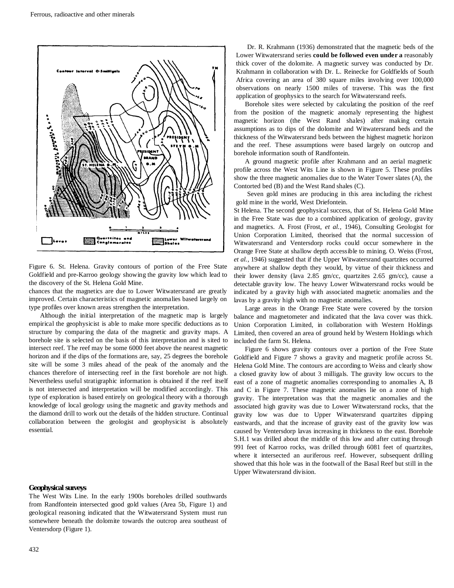

Figure 6. St. Helena. Gravity contours of portion of the Free State Goldfield and pre-Karroo geology showing the gravity low which lead to the discovery of the St. Helena Gold Mine.

chances that the magnetics are due to Lower Witwatersrand are greatly improved. Certain characteristics of magnetic anomalies based largely on type profiles over known areas strengthen the interpretation.

Although the initial interpretation of the magnetic map is largely empirical the geophysicist is able to make more specific deductions as to structure by comparing the data of the magnetic and gravity maps. A borehole site is selected on the basis of this interpretation and is sited to intersect reef. The reef may be some 6000 feet above the nearest magnetic horizon and if the dips of the formations are, say, 25 degrees the borehole site will be some 3 miles ahead of the peak of the anomaly and the chances therefore of intersecting reef in the first borehole are not high. Nevertheless useful stratigraphic information is obtained if the reef itself is not intersected and interpretation will be modified accordingly. This type of exploration is based entirely on geological theory with a thorough knowledge of local geology using the magnetic and gravity methods and the diamond drill to work out the details of the hidden structure. Continual collaboration between the geologist and geophysicist is absolutely essential.

#### **Geophysical surveys**

The West Wits Line. In the early 1900s boreholes drilled southwards from Randfontein intersected good gold values (Area 5b, Figure 1) and geological reasoning indicated that the Witwatersrand System must run somewhere beneath the dolomite towards the outcrop area southeast of Ventersdorp (Figure 1).

Dr. R. Krahmann (1936) demonstrated that the magnetic beds of the Lower Witwatersrand series **could be followed even under a** reasonably thick cover of the dolomite. A magnetic survey was conducted by Dr. Krahmann in collaboration with Dr. L. Reinecke for Goldfields of South Africa covering an area of 380 square miles involving over 100,000 observations on nearly 1500 miles of traverse. This was the first application of geophysics to the search for Witwatersrand reefs.

Borehole sites were selected by calculating the position of the reef from the position of the magnetic anomaly representing the highest magnetic horizon (the West Rand shales) after making certain assumptions as to dips of the dolomite and Witwatersrand beds and the thickness of the Witwatersrand beds between the highest magnetic horizon and the reef. These assumptions were based largely on outcrop and borehole information south of Randfontein.

A ground magnetic profile after Krahmann and an aerial magnetic profile across the West Wits Line is shown in Figure 5. These profiles show the three magnetic anomalies due to the Water Tower slates (A), the Contorted bed (B) and the West Rand shales (C).

Seven gold mines are producing in this area including the richest gold mine in the world, West Driefontein.

St Helena. The second geophysical success, that of St. Helena Gold Mine in the Free State was due to a combined application of geology, gravity and magnetics. A. Frost (Frost, *et al.,* 1946), Consulting Geologist for Union Corporation Limited, theorised that the normal succession of Witwatersrand and Ventersdorp rocks could occur somewhere in the Orange Free State at shallow depth accessible to mining. O. Weiss (Frost, *et al.,* 1946) suggested that if the Upper Witwatersrand quartzites occurred anywhere at shallow depth they would, by virtue of their thickness and their lower density (lava 2.85 gm/cc, quartzites 2.65 gm/cc), cause a detectable gravity low. The heavy Lower Witwatersrand rocks would be indicated by a gravity high with associated magnetic anomalies and the lavas by a gravity high with no magnetic anomalies.

Large areas in the Orange Free State were covered by the torsion balance and magnetometer and indicated that the lava cover was thick. Union Corporation Limited, in collaboration with Western Holdings Limited, then covered an area of ground held by Western Holdings which included the farm St. Helena.

Figure 6 shows gravity contours over a portion of the Free State Goldfield and Figure 7 shows a gravity and magnetic profile across St. Helena Gold Mine. The contours are according to Weiss and clearly show a closed gravity low of about 3 milligals. The gravity low occurs to the east of a zone of magnetic anomalies corresponding to anomalies A, B and C in Figure 7. These magnetic anomalies lie on a zone of high gravity. The interpretation was that the magnetic anomalies and the associated high gravity was due to Lower Witwatersrand rocks, that the gravity low was due to Upper Witwatersrand quartzites dipping eastwards, and that the increase of gravity east of the gravity low was caused by Ventersdorp lavas increasing in thickness to the east. Borehole S.H.1 was drilled about the middle of this low and after cutting through 991 feet of Karroo rocks, was drilled through 6081 feet of quartzites, where it intersected an auriferous reef. However, subsequent drilling showed that this hole was in the footwall of the Basal Reef but still in the Upper Witwatersrand division.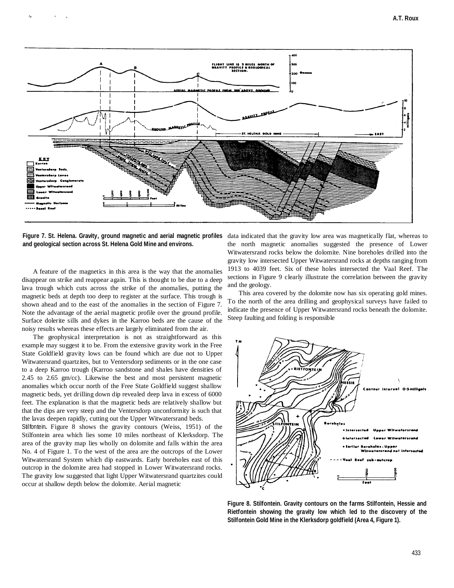

**Figure 7. St. Helena. Gravity, ground magnetic and aerial magnetic profiles and geological section across St. Helena Gold Mine and environs.** 

A feature of the magnetics in this area is the way that the anomalies disappear on strike and reappear again. This is thought to be due to a deep lava trough which cuts across the strike of the anomalies, putting the magnetic beds at depth too deep to register at the surface. This trough is shown ahead and to the east of the anomalies in the section of Figure 7. Note the advantage of the aerial magnetic profile over the ground profile. Surface dolerite sills and dykes in the Karroo beds are the cause of the noisy results whereas these effects are largely eliminated from the air.

The geophysical interpretation is not as straightforward as this example may suggest it to be. From the extensive gravity work in the Free State Goldfield gravity lows can be found which are due not to Upper Witwatersrand quartzites, but to Ventersdorp sediments or in the one case to a deep Karroo trough (Karroo sandstone and shales have densities of 2.45 to 2.65 gm/cc). Likewise the best and most persistent magnetic anomalies which occur north of the Free State Goldfield suggest shallow magnetic beds, yet drilling down dip revealed deep lava in excess of 6000 feet. The explanation is that the magnetic beds are relatively shallow but that the dips are very steep and the Ventersdorp unconformity is such that the lavas deepen rapidly, cutting out the Upper Witwatersrand beds.

Stilfontein**.** Figure 8 shows the gravity contours (Weiss, 1951) of the Stilfontein area which lies some 10 miles northeast of Klerksdorp. The area of the gravity map lies wholly on dolomite and falls within the area No. 4 of Figure 1. To the west of the area are the outcrops of the Lower Witwatersrand System which dip eastwards. Early boreholes east of this outcrop in the dolomite area had stopped in Lower Witwatersrand rocks. The gravity low suggested that light Upper Witwatersrand quartzites could occur at shallow depth below the dolomite. Aerial magnetic

data indicated that the gravity low area was magnetically flat, whereas to the north magnetic anomalies suggested the presence of Lower Witwatersrand rocks below the dolomite. Nine boreholes drilled into the gravity low intersected Upper Witwatersrand rocks at depths ranging from 1913 to 4039 feet. Six of these holes intersected the Vaal Reef. The sections in Figure 9 clearly illustrate the correlation between the gravity and the geology.

This area covered by the dolomite now has six operating gold mines. To the north of the area drilling and geophysical surveys have failed to indicate the presence of Upper Witwatersrand rocks beneath the dolomite. Steep faulting and folding is responsible



**Figure 8. Stilfontein. Gravity contours on the farms Stilfontein, Hessie and Rietfontein showing the gravity low which led to the discovery of the Stilfontein Gold Mine in the Klerksdorp goldfield (Area 4, Figure 1).**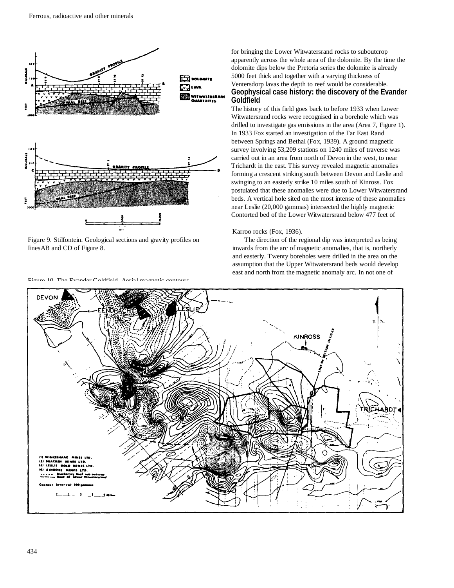

Iines AB and CD of Figure 8. invariant inwards from the arc of magnetic anomalies, that is, northerly

 $E_{\text{inner}}$  10 The Evender Goldfield Aerial magnetic contours

for bringing the Lower Witwatersrand rocks to suboutcrop apparently across the whole area of the dolomite. By the time the dolomite dips below the Pretoria series the dolomite is already 5000 feet thick and together with a varying thickness of Ventersdorp lavas the depth to reef would be considerable. **Geophysical case history: the discovery of the Evander Goldfield** 

The history of this field goes back to before 1933 when Lower Witwatersrand rocks were recognised in a borehole which was drilled to investigate gas emissions in the area (Area 7, Figure 1). In 1933 Fox started an investigation of the Far East Rand between Springs and Bethal (Fox, 1939). A ground magnetic survey involving 53,209 stations on 1240 miles of traverse was carried out in an area from north of Devon in the west, to near Trichardt in the east. This survey revealed magnetic anomalies forming a crescent striking south between Devon and Leslie and swinging to an easterly strike 10 miles south of Kinross. Fox postulated that these anomalies were due to Lower Witwatersrand beds. A vertical hole sited on the most intense of these anomalies near Leslie (20,000 gammas) intersected the highly magnetic Contorted bed of the Lower Witwatersrand below 477 feet of

#### Karroo rocks (Fox, 1936).

Figure 9. Stilfontein. Geological sections and gravity profiles on The direction of the regional dip was interpreted as being and easterly. Twenty boreholes were drilled in the area on the assumption that the Upper Witwatersrand beds would develop east and north from the magnetic anomaly arc. In not one of

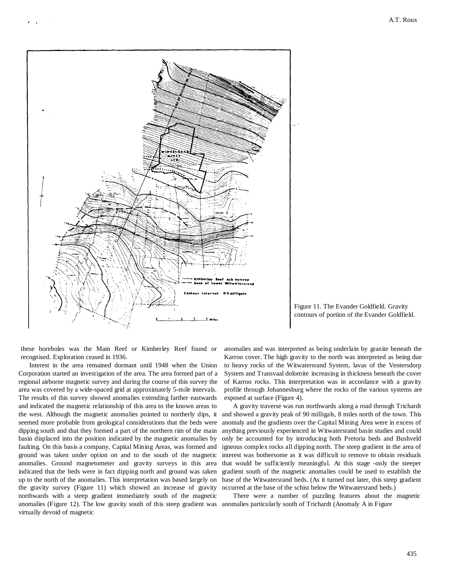



these boreholes was the Main Reef or Kimberley Reef found or recognised. Exploration ceased in 1936.

Interest in the area remained dormant until 1948 when the Union Corporation started an investigation of the area. The area formed part of a regional airborne magnetic survey and during the course of this survey the area was covered by a wide-spaced grid at approximately 5-mile intervals. The results of this survey showed anomalies extending farther eastwards and indicated the magnetic relationship of this area to the known areas to the west. Although the magnetic anomalies pointed to northerly dips, it seemed more probable from geological considerations that the beds were dipping south and that they formed a part of the northern rim of the main basin displaced into the position indicated by the magnetic anomalies by faulting. On this basis a company, Capital Mining Areas, was formed and ground was taken under option on and to the south of the magnetic anomalies. Ground magnetometer and gravity surveys in this area indicated that the beds were in fact dipping north and ground was taken up to the north of the anomalies. This interpretation was based largely on the gravity survey (Figure 11) which showed an increase of gravity northwards with a steep gradient immediately south of the magnetic anomalies (Figure 12). The low gravity south of this steep gradient was anomalies particularly south of Trichardt (Anomaly A in Figure virtually devoid of magnetic

anomalies and was interpreted as being underlain by granite beneath the Karroo cover. The high gravity to the north was interpreted as being due to heavy rocks of the Witwatersrand System, lavas of the Ventersdorp System and Transvaal dolomite increasing in thickness beneath the cover of Karroo rocks. This interpretation was in accordance with a gravity profile through Johannesburg where the rocks of the various systems are exposed at surface (Figure 4).

A gravity traverse was run northwards along a road through Trichardt and showed a gravity peak of 90 milligals, 8 miles north of the town. This anomaly and the gradients over the Capital Mining Area were in excess of anything previously experienced in Witwatersrand basin studies and could only be accounted for by introducing both Pretoria beds and Bushveld igneous complex rocks all dipping north. The steep gradient in the area of interest was bothersome as it was difficult to remove to obtain residuals that would be sufficiently meaningful. At this stage -only the steeper gradient south of the magnetic anomalies could be used to establish the base of the Witwatersrand beds. (As it turned out later, this steep gradient occurred at the base of the schist below the Witwatersrand beds.)

There were a number of puzzling features about the magnetic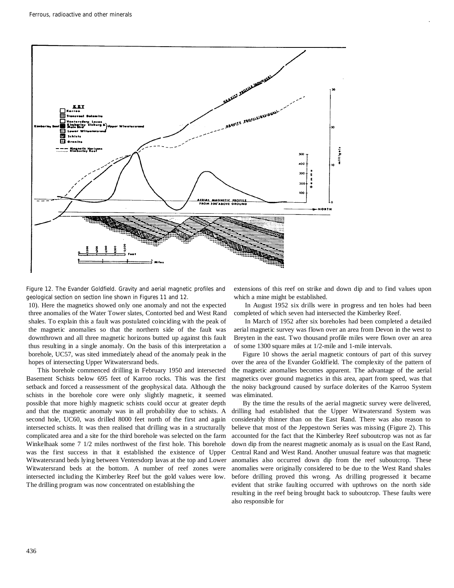

Figure 12. The Evander Goldfield. Gravity and aerial magnetic profiles and geological section on section line shown in Figures 11 and 12.

10). Here the magnetics showed only one anomaly and not the expected three anomalies of the Water Tower slates, Contorted bed and West Rand shales. To explain this a fault was postulated coinciding with the peak of the magnetic anomalies so that the northern side of the fault was downthrown and all three magnetic horizons butted up against this fault thus resulting in a single anomaly. On the basis of this interpretation a borehole, UC57, was sited immediately ahead of the anomaly peak in the hopes of intersecting Upper Witwatersrand beds.

This borehole commenced drilling in February 1950 and intersected Basement Schists below 695 feet of Karroo rocks. This was the first setback and forced a reassessment of the geophysical data. Although the schists in the borehole core were only slightly magnetic, it seemed possible that more highly magnetic schists could occur at greater depth and that the magnetic anomaly was in all probability due to schists. A second hole, UC60, was drilled 8000 feet north of the first and again intersected schists. It was then realised that drilling was in a structurally complicated area and a site for the third borehole was selected on the farm Winkelhaak some 7 1/2 miles northwest of the first hole. This borehole was the first success in that it established the existence of Upper Witwatersrand beds lying between Ventersdorp lavas at the top and Lower Witwatersrand beds at the bottom. A number of reef zones were intersected including the Kimberley Reef but the gold values were low. The drilling program was now concentrated on establishing the

extensions of this reef on strike and down dip and to find values upon which a mine might be established.

In August 1952 six drills were in progress and ten holes had been completed of which seven had intersected the Kimberley Reef.

In March of 1952 after six boreholes had been completed a detailed aerial magnetic survey was flown over an area from Devon in the west to Breyten in the east. Two thousand profile miles were flown over an area of some 1300 square miles at 1/2-mile and 1-mile intervals.

Figure 10 shows the aerial magnetic contours of part of this survey over the area of the Evander Goldfield. The complexity of the pattern of the magnetic anomalies becomes apparent. The advantage of the aerial magnetics over ground magnetics in this area, apart from speed, was that the noisy background caused by surface dolerites of the Karroo System was eliminated.

By the time the results of the aerial magnetic survey were delivered, drilling had established that the Upper Witwatersrand System was considerably thinner than on the East Rand. There was also reason to believe that most of the Jeppestown Series was missing (Figure 2). This accounted for the fact that the Kimberley Reef suboutcrop was not as far down dip from the nearest magnetic anomaly as is usual on the East Rand, Central Rand and West Rand. Another unusual feature was that magnetic anomalies also occurred down dip from the reef suboutcrop. These anomalies were originally considered to be due to the West Rand shales before drilling proved this wrong. As drilling progressed it became evident that strike faulting occurred with upthrows on the north side resulting in the reef being brought back to suboutcrop. These faults were also responsible for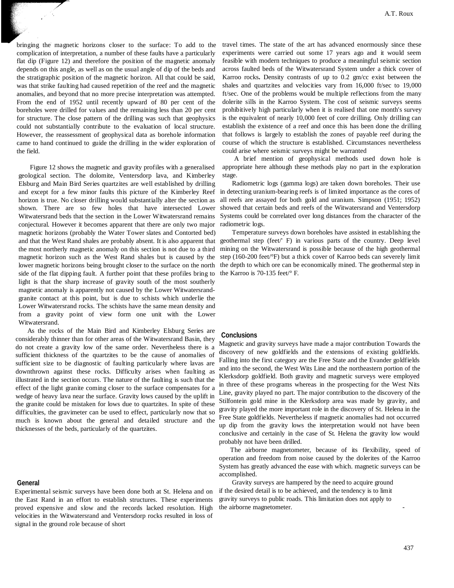bringing the magnetic horizons closer to the surface: To add to the complication of interpretation, a number of these faults have a particularly flat dip (Figure 12) and therefore the position of the magnetic anomaly depends on this angle, as well as on the usual angle of dip of the beds and the stratigraphic position of the magnetic horizon. All that could be said, was that strike faulting had caused repetition of the reef and the magnetic anomalies, and beyond that no more precise interpretation was attempted. From the end of 1952 until recently upward of 80 per cent of the boreholes were drilled for values and the remaining less than 20 per cent for structure. The close pattern of the drilling was such that geophysics could not substantially contribute to the evaluation of local structure. However, the reassessment of geophysical data as borehole information came to hand continued to guide the drilling in the wider exploration of the field.

Figure 12 shows the magnetic and gravity profiles with a generalised geological section. The dolomite, Ventersdorp lava, and Kimberley Elsburg and Main Bird Series quartzites are well established by drilling and except for a few minor faults this picture of the Kimberley Reef horizon is true. No closer drilling would substantially alter the section as shown. There are so few holes that have intersected Lower Witwatersrand beds that the section in the Lower Witwatersrand remains conjectural. However it becomes apparent that there are only two major magnetic horizons (probably the Water Tower slates and Contorted bed) and that the West Rand shales are probably absent. It is also apparent that the most northerly magnetic anomaly on this section is not due to a third magnetic horizon such as the West Rand shales but is caused by the lower magnetic horizons being brought closer to the surface on the north side of the flat dipping fault. A further point that these profiles bring to light is that the sharp increase of gravity south of the most southerly magnetic anomaly is apparently not caused by the Lower Witwatersrandgranite contact at this point, but is due to schists which underlie the Lower Witwatersrand rocks. The schists have the same mean density and from a gravity point of view form one unit with the Lower Witwatersrand.

As the rocks of the Main Bird and Kimberley Elsburg Series are considerably thinner than for other areas of the Witwatersrand Basin, they do not create a gravity low of the same order. Nevertheless there is a sufficient thickness of the quartzites to be the cause of anomalies of sufficient size to be diagnostic of faulting particularly where lavas are downthrown against these rocks. Difficulty arises when faulting as illustrated in the section occurs. The nature of the faulting is such that the effect of the light granite coming closer to the surface compensates for a wedge of heavy lava near the surface. Gravity lows caused by the uplift in the granite could be mistaken for lows due to quartzites. In spite of these difficulties, the gravimeter can be used to effect, particularly now that so much is known about the general and detailed structure and the thicknesses of the beds, particularly of the quartzites.

### **General**

Experimental seismic surveys have been done both at St. Helena and on the East Rand in an effort to establish structures. These experiments proved expensive and slow and the records lacked resolution. High velocities in the Witwatersrand and Ventersdorp rocks resulted in loss of signal in the ground role because of short

travel times. The state of the art has advanced enormously since these experiments were carried out some 17 years ago and it would seem feasible with modern techniques to produce a meaningful seismic section across faulted beds of the Witwatersrand System under a thick cover of Karroo rocks**.** Density contrasts of up to 0.2 gm/cc exist between the shales and quartzites and velocities vary from 16,000 ft/sec to 19,000 ft/sec. One of the problems would be multiple reflections from the many dolerite sills in the Karroo System. The cost of seismic surveys seems prohibitively high particularly when it is realised that one month's survey is the equivalent of nearly 10,000 feet of core drilling. Only drilling can establish the existence of a reef and once this has been done the drilling that follows is largely to establish the zones of payable reef during the course of which the structure is established. Circumstances nevertheless could arise where seismic surveys might be warranted

A brief mention of geophysical methods used down hole is appropriate here although these methods play no part in the exploration stage.

Radiometric logs (gamma logs) are taken down boreholes. Their use in detecting uranium-bearing reefs is of limited importance as the cores of all reefs are assayed for both gold and uranium. Simpson (1951; 1952) showed that certain beds and reefs of the Witwatersrand and Ventersdorp Systems could be correlated over long distances from the character of the radiometric logs.

Temperature surveys down boreholes have assisted in establishing the geothermal step (feet/' F) in various parts of the country. Deep level mining on the Witwatersrand is possible because of the high geothermal step (160-200 feet/°F) but a thick cover of Karroo beds can severely limit the depth to which ore can be economically mined. The geothermal step in the Karroo is 70-135 feet/° F.

#### **Conclusions**

Magnetic and gravity surveys have made a major contribution Towards the discovery of new goldfields and the extensions of existing goldfields. Falling into the first category are the Free State and the Evander goldfields and into the second, the West Wits Line and the northeastern portion of the Klerksdorp goldfield. Both gravity and magnetic surveys were employed in three of these programs whereas in the prospecting for the West Nits Line, gravity played no part. The major contribution to the discovery of the Stilfontein gold mine in the Klerksdorp area was made by gravity, and gravity played the more important role in the discovery of St. Helena in the Free State goldfields. Nevertheless if magnetic anomalies had not occurred up dip from the gravity lows the interpretation would not have been conclusive and certainly in the case of St. Helena the gravity low would probably not have been drilled.

The airborne magnetometer, because of its flexibility, speed of operation and freedom from noise caused by the dolerites of the Karroo System has greatly advanced the ease with which. magnetic surveys can be accomplished.

Gravity surveys are hampered by the need to acquire ground if the desired detail is to be achieved, and the tendency is to limit gravity surveys to public roads. This limitation does not apply to the airborne magnetometer.